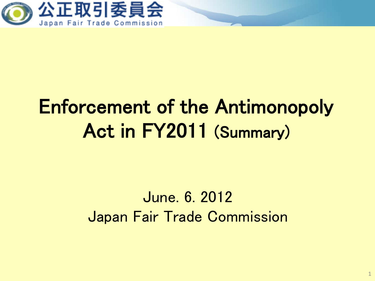

# Enforcement of the Antimonopoly Act in FY2011 (Summary)

### June. 6. 2012 Japan Fair Trade Commission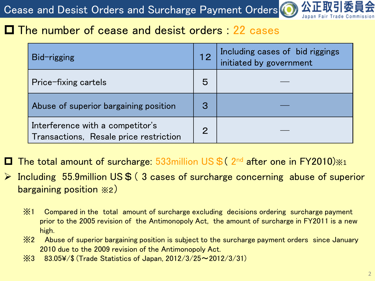Cease and Desist Orders and Surcharge Payment Orders<sup>(O</sup>

#### **□ The number of cease and desist orders : 22 cases**

| <b>Bid-rigging</b>                                                         | 12             | Including cases of bid riggings<br>initiated by government |
|----------------------------------------------------------------------------|----------------|------------------------------------------------------------|
| Price-fixing cartels                                                       | 5              |                                                            |
| Abuse of superior bargaining position                                      | 3              |                                                            |
| Interference with a competitor's<br>Transactions, Resale price restriction | $\overline{2}$ |                                                            |

□ The total amount of surcharge: 533million US \$ (2nd after one in FY2010)  $\times$ 1

- $\triangleright$  Including 55.9million US\$ (3 cases of surcharge concerning abuse of superior bargaining position ※2)
	- prior to the 2005 revision of the Antimonopoly Act, the amount of surcharge in FY2011 is a new ※1 Compared in the total amount of surcharge excluding decisions ordering surcharge payment high.
	- ※2 Abuse of superior bargaining position is subject to the surcharge payment orders since January 2010 due to the 2009 revision of the Antimonopoly Act.
	- ※3 83.05¥/\$ (Trade Statistics of Japan, 2012/3/25~2012/3/31)

Japan Fair Trade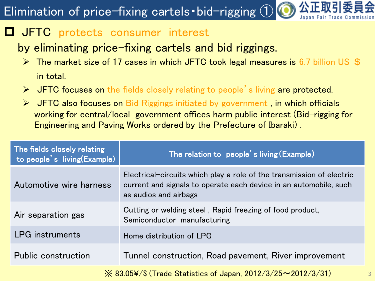### Elimination of price-fixing cartels・bid-rigging ①

#### $\Box$  **JFTC** protects consumer interest

#### by eliminating price-fixing cartels and bid riggings.

- $\triangleright$  The market size of 17 cases in which JFTC took legal measures is 6.7 billion US \$ in total.
- $\triangleright$  JFTC focuses on the fields closely relating to people's living are protected.
- $\triangleright$  JFTC also focuses on Bid Riggings initiated by government, in which officials working for central/local government offices harm public interest (Bid-rigging for Engineering and Paving Works ordered by the Prefecture of Ibaraki) .

| The fields closely relating<br>to people's living(Example)                      | The relation to people's living (Example)                                                                                                                           |  |  |  |
|---------------------------------------------------------------------------------|---------------------------------------------------------------------------------------------------------------------------------------------------------------------|--|--|--|
| Automotive wire harness                                                         | Electrical-circuits which play a role of the transmission of electric<br>current and signals to operate each device in an automobile, such<br>as audios and airbags |  |  |  |
| Air separation gas                                                              | Cutting or welding steel, Rapid freezing of food product,<br>Semiconductor manufacturing                                                                            |  |  |  |
| <b>LPG</b> instruments                                                          | Home distribution of LPG                                                                                                                                            |  |  |  |
| <b>Public construction</b>                                                      | Tunnel construction, Road pavement, River improvement                                                                                                               |  |  |  |
| $\frac{1}{2}$ 83.05¥/\$ (Trade Statistics of Japan, 2012/3/25 $\sim$ 2012/3/31) |                                                                                                                                                                     |  |  |  |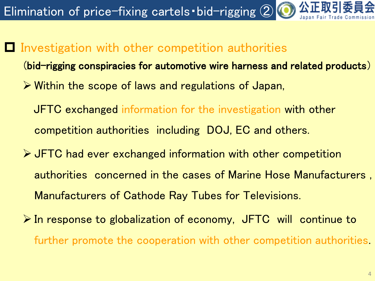公正取 Elimination of price-fixing cartels • bid-rigging 2

 $\blacksquare$  Investigation with other competition authorities

(bid-rigging conspiracies for automotive wire harness and related products)

- Within the scope of laws and regulations of Japan,
	- JFTC exchanged information for the investigation with other competition authorities including DOJ, EC and others.
- JFTC had ever exchanged information with other competition authorities concerned in the cases of Marine Hose Manufacturers , Manufacturers of Cathode Ray Tubes for Televisions.
- $\triangleright$  In response to globalization of economy, JFTC will continue to further promote the cooperation with other competition authorities.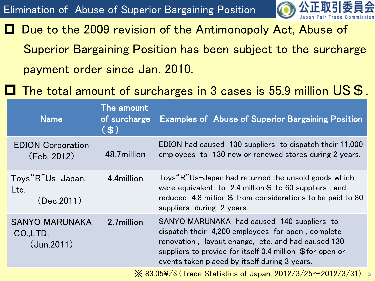

 Due to the 2009 revision of the Antimonopoly Act, Abuse of Superior Bargaining Position has been subject to the surcharge payment order since Jan. 2010.

The total amount of surcharges in 3 cases is 55.9 million  $\mathsf{US}\,\mathsf{\$}$ .

| <b>Name</b>                                                                                                                                                                                                                                                                                                      | The amount<br>of surcharge<br>(S) | <b>Examples of Abuse of Superior Bargaining Position</b>                                                                                                                                                                                                            |  |  |
|------------------------------------------------------------------------------------------------------------------------------------------------------------------------------------------------------------------------------------------------------------------------------------------------------------------|-----------------------------------|---------------------------------------------------------------------------------------------------------------------------------------------------------------------------------------------------------------------------------------------------------------------|--|--|
| <b>EDION Corporation</b><br>(Feb. 2012)                                                                                                                                                                                                                                                                          | 48.7million                       | EDION had caused 130 suppliers to dispatch their 11,000<br>employees to 130 new or renewed stores during 2 years.                                                                                                                                                   |  |  |
| Toys"R"Us-Japan,<br>Ltd.<br>(Dec.2011)                                                                                                                                                                                                                                                                           | 4.4million                        | Toys "R"Us-Japan had returned the unsold goods which<br>were equivalent to 2.4 million $$$ to 60 suppliers, and<br>reduced 4.8 million \$ from considerations to be paid to 80<br>suppliers during 2 years.                                                         |  |  |
| <b>SANYO MARUNAKA</b><br>CO.,LTD.<br>(Jun.2011)                                                                                                                                                                                                                                                                  | 2.7million                        | SANYO MARUNAKA had caused 140 suppliers to<br>dispatch their 4,200 employees for open, complete<br>renovation, layout change, etc. and had caused 130<br>suppliers to provide for itself 0.4 million \$for open or<br>events taken placed by itself during 3 years. |  |  |
| $\frac{1}{2}$ as $\frac{1}{2}$ ( $\frac{1}{2}$ ) $\frac{1}{2}$ ( $\frac{1}{2}$ ) $\frac{1}{2}$ ( $\frac{1}{2}$ ) $\frac{1}{2}$ ( $\frac{1}{2}$ ) $\frac{1}{2}$ ( $\frac{1}{2}$ ) $\frac{1}{2}$ ( $\frac{1}{2}$ ) $\frac{1}{2}$ ) $\frac{1}{2}$ ( $\frac{1}{2}$ ) $\frac{1}{2}$ ) $\frac{1}{2}$ ) $\frac{1}{2}$ ) |                                   |                                                                                                                                                                                                                                                                     |  |  |

 $\,\times\,$  83.05¥/\$ (Trade Statistics of Japan, 2012/3/25 $\sim$ 2012/3/31)  $\,$  5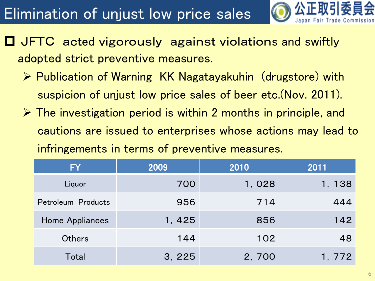## Elimination of unjust low price sales



- **O** JFTC acted vigorously against violations and swiftly adopted strict preventive measures.
	- ▶ Publication of Warning KK Nagatayakuhin (drugstore) with suspicion of unjust low price sales of beer etc.(Nov. 2011).
	- $\triangleright$  The investigation period is within 2 months in principle, and cautions are issued to enterprises whose actions may lead to infringements in terms of preventive measures.

| <b>FY</b>          | 2009   | 2010  | 2011   |
|--------------------|--------|-------|--------|
| Liquor             | 700    | 1,028 | 1, 138 |
| Petroleum Products | 956    | 714   | 444    |
| Home Appliances    | 1, 425 | 856   | 142    |
| <b>Others</b>      | 144    | 102   | 48     |
| Total              | 3, 225 | 2,700 | 1, 772 |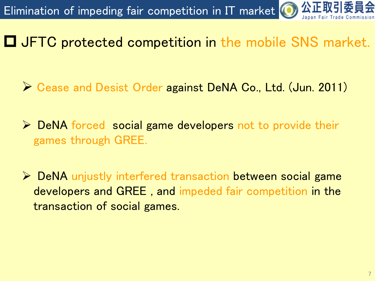

JFTC protected competition in the mobile SNS market.

- ▶ Cease and Desist Order against DeNA Co., Ltd. (Jun. 2011)
- $\triangleright$  DeNA forced social game developers not to provide their games through GREE.
- **► DeNA** unjustly interfered transaction between social game developers and GREE , and impeded fair competition in the transaction of social games.